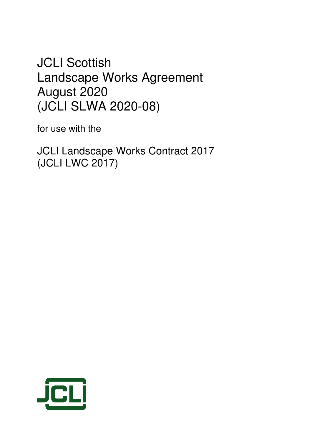# **JCLI Scottish** Landscape Works Agreement August 2020 (JCLI SLWA 2020-08)

for use with the

JCLI Landscape Works Contract 2017 (JCLI LWC 2017)

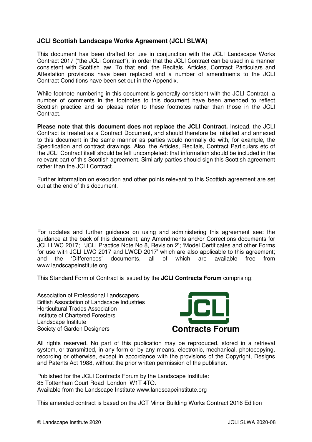# **JCLI Scottish Landscape Works Agreement (JCLI SLWA)**

This document has been drafted for use in conjunction with the JCLI Landscape Works Contract 2017 ("the JCLI Contract"), in order that the JCLI Contract can be used in a manner consistent with Scottish law. To that end, the Recitals, Articles, Contract Particulars and Attestation provisions have been replaced and a number of amendments to the JCLI Contract Conditions have been set out in the Appendix.

While footnote numbering in this document is generally consistent with the JCLI Contract, a number of comments in the footnotes to this document have been amended to reflect Scottish practice and so please refer to these footnotes rather than those in the JCLI Contract.

**Please note that this document does not replace the JCLI Contract.** Instead, the JCLI Contract is treated as a Contract Document, and should therefore be initialled and annexed to this document in the same manner as parties would normally do with, for example, the Specification and contract drawings. Also, the Articles, Recitals, Contract Particulars etc of the JCLI Contract itself should be left uncompleted: that information should be included in the relevant part of this Scottish agreement. Similarly parties should sign this Scottish agreement rather than the JCLI Contract.

Further information on execution and other points relevant to this Scottish agreement are set out at the end of this document.

For updates and further guidance on using and administering this agreement see: the guidance at the back of this document; any Amendments and/or Corrections documents for JCLI LWC 2017; 'JCLI Practice Note No 8, Revision 2'; 'Model Certificates and other Forms for use with JCLI LWC 2017 and LWCD 2017' which are also applicable to this agreement; and the 'Differences' documents, all of which are available free from www.landscapeinstitute.org

This Standard Form of Contract is issued by the **JCLI Contracts Forum** comprising:

Association of Professional Landscapers British Association of Landscape Industries Horticultural Trades Association Institute of Chartered Foresters Landscape Institute Society of Garden Designers **Contracts Forum**



All rights reserved. No part of this publication may be reproduced, stored in a retrieval system, or transmitted, in any form or by any means, electronic, mechanical, photocopying, recording or otherwise, except in accordance with the provisions of the Copyright, Designs and Patents Act 1988, without the prior written permission of the publisher.

Published for the JCLI Contracts Forum by the Landscape Institute: 85 Tottenham Court Road London W1T 4TQ. Available from the Landscape Institute www.landscapeinstitute.org

This amended contract is based on the JCT Minor Building Works Contract 2016 Edition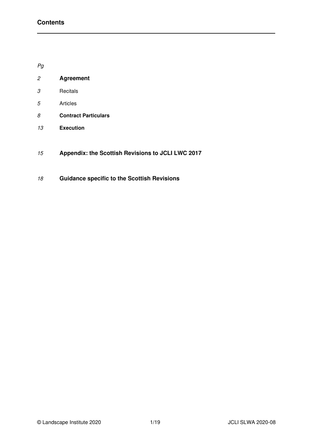Pg

| 2 | <b>Agreement</b> |
|---|------------------|
|   |                  |

- Recitals
- Articles
- **Contract Particulars**
- **Execution**
- **Appendix: the Scottish Revisions to JCLI LWC 2017**
- **Guidance specific to the Scottish Revisions**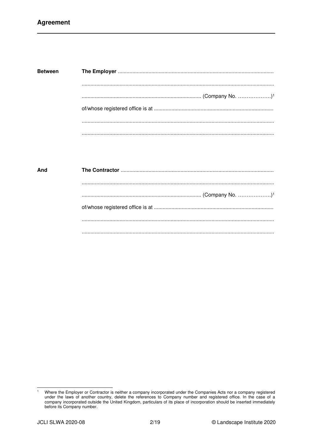| <b>Between</b> |  |
|----------------|--|
|                |  |
|                |  |
|                |  |
|                |  |

| And |  |
|-----|--|
|     |  |
|     |  |
|     |  |
|     |  |
|     |  |

 $\overline{1}$ Where the Employer or Contractor is neither a company incorporated under the Companies Acts nor a company registered under the laws of another country, delete the references to Company number and registered office. In the case of a company incorporated outside the United Kingdom, particulars of its place of incorporation should be inserted immediately before its Company number.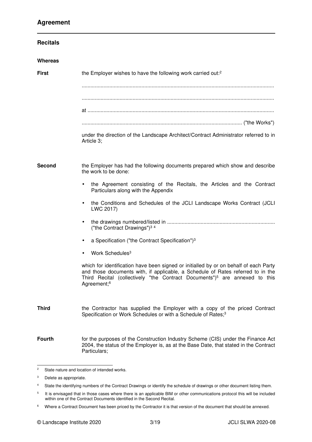| <b>Recitals</b> |                                                                                                                                                                                                                                                                                               |
|-----------------|-----------------------------------------------------------------------------------------------------------------------------------------------------------------------------------------------------------------------------------------------------------------------------------------------|
| Whereas         |                                                                                                                                                                                                                                                                                               |
| <b>First</b>    | the Employer wishes to have the following work carried out: <sup>2</sup>                                                                                                                                                                                                                      |
|                 |                                                                                                                                                                                                                                                                                               |
|                 |                                                                                                                                                                                                                                                                                               |
|                 | under the direction of the Landscape Architect/Contract Administrator referred to in<br>Article 3;                                                                                                                                                                                            |
| Second          | the Employer has had the following documents prepared which show and describe<br>the work to be done:                                                                                                                                                                                         |
|                 | the Agreement consisting of the Recitals, the Articles and the Contract<br>Particulars along with the Appendix                                                                                                                                                                                |
|                 | the Conditions and Schedules of the JCLI Landscape Works Contract (JCLI<br>٠<br>LWC 2017)                                                                                                                                                                                                     |
|                 | ٠<br>("the Contract Drawings") <sup>34</sup>                                                                                                                                                                                                                                                  |
|                 | a Specification ("the Contract Specification") <sup>3</sup><br>٠                                                                                                                                                                                                                              |
|                 | Work Schedules <sup>3</sup>                                                                                                                                                                                                                                                                   |
|                 | which for identification have been signed or initialled by or on behalf of each Party<br>and those documents with, if applicable, a Schedule of Rates referred to in the<br>Third Recital (collectively "the Contract Documents") <sup>5</sup> are annexed to this<br>Agreement; <sup>6</sup> |
| <b>Third</b>    | the Contractor has supplied the Employer with a copy of the priced Contract<br>Specification or Work Schedules or with a Schedule of Rates; <sup>3</sup>                                                                                                                                      |
| <b>Fourth</b>   | for the purposes of the Construction Industry Scheme (CIS) under the Finance Act<br>2004, the status of the Employer is, as at the Base Date, that stated in the Contract<br>Particulars;                                                                                                     |

<sup>2</sup> State nature and location of intended works.

<sup>&</sup>lt;sup>3</sup> Delete as appropriate.

<sup>4</sup> State the identifying numbers of the Contract Drawings or identify the schedule of drawings or other document listing them.

<sup>5</sup> It is envisaged that in those cases where there is an applicable BIM or other communications protocol this will be included within one of the Contract Documents identified in the Second Recital.

<sup>6</sup> Where a Contract Document has been priced by the Contractor it is that version of the document that should be annexed.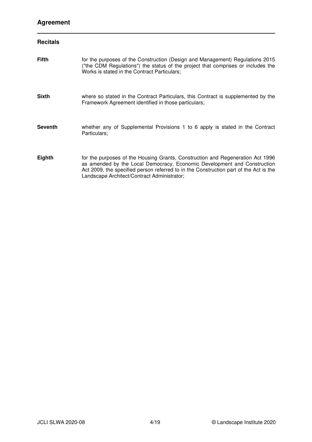# **Agreement**

| <b>Recitals</b> |                                                                                                                                                                                                                                                                                                    |
|-----------------|----------------------------------------------------------------------------------------------------------------------------------------------------------------------------------------------------------------------------------------------------------------------------------------------------|
| <b>Fifth</b>    | for the purposes of the Construction (Design and Management) Regulations 2015<br>("the CDM Regulations") the status of the project that comprises or includes the<br>Works is stated in the Contract Particulars;                                                                                  |
| <b>Sixth</b>    | where so stated in the Contract Particulars, this Contract is supplemented by the<br>Framework Agreement identified in those particulars;                                                                                                                                                          |
| <b>Seventh</b>  | whether any of Supplemental Provisions 1 to 6 apply is stated in the Contract<br>Particulars;                                                                                                                                                                                                      |
| Eighth          | for the purposes of the Housing Grants, Construction and Regeneration Act 1996<br>as amended by the Local Democracy, Economic Development and Construction<br>Act 2009, the specified person referred to in the Construction part of the Act is the<br>Landscape Architect/Contract Administrator; |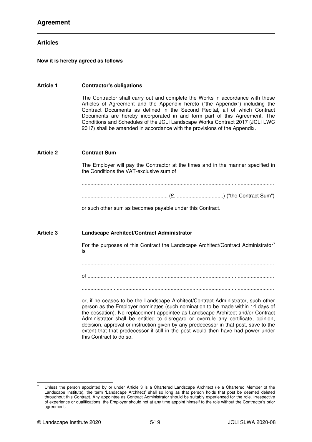## **Articles**

## **Now it is hereby agreed as follows**

#### **Article 1 Contractor's obligations**

The Contractor shall carry out and complete the Works in accordance with these Articles of Agreement and the Appendix hereto ("the Appendix") including the Contract Documents as defined in the Second Recital, all of which Contract Documents are hereby incorporated in and form part of this Agreement. The Conditions and Schedules of the JCLI Landscape Works Contract 2017 (JCLI LWC 2017) shall be amended in accordance with the provisions of the Appendix.

## **Article 2 Contract Sum**

The Employer will pay the Contractor at the times and in the manner specified in the Conditions the VAT-exclusive sum of

.................................................................................................................................... ........................................................... (£..................................) ("the Contract Sum")

or such other sum as becomes payable under this Contract.

## **Article 3 Landscape Architect/Contract Administrator**

For the purposes of this Contract the Landscape Architect/Contract Administrator<sup>7</sup> is

....................................................................................................................................

of ................................................................................................................................

....................................................................................................................................

or, if he ceases to be the Landscape Architect/Contract Administrator, such other person as the Employer nominates (such nomination to be made within 14 days of the cessation). No replacement appointee as Landscape Architect and/or Contract Administrator shall be entitled to disregard or overrule any certificate, opinion, decision, approval or instruction given by any predecessor in that post, save to the extent that that predecessor if still in the post would then have had power under this Contract to do so.

Unless the person appointed by or under Article 3 is a Chartered Landscape Architect (ie a Chartered Member of the Landscape Institute), the term 'Landscape Architect' shall so long as that person holds that post be deemed deleted throughout this Contract. Any appointee as Contract Administrator should be suitably experienced for the role. Irrespective of experience or qualifications, the Employer should not at any time appoint himself to the role without the Contractor's prior agreement.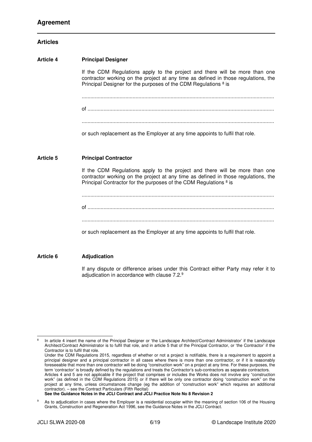## **Articles**

**Article 4 Principal Designer**  If the CDM Regulations apply to the project and there will be more than one contractor working on the project at any time as defined in those regulations, the Principal Designer for the purposes of the CDM Regulations <sup>8</sup> is .................................................................................................................................... of ................................................................................................................................ .................................................................................................................................... or such replacement as the Employer at any time appoints to fulfil that role. **Article 5 Principal Contractor**  If the CDM Regulations apply to the project and there will be more than one contractor working on the project at any time as defined in those regulations, the Principal Contractor for the purposes of the CDM Regulations <sup>8</sup> is .................................................................................................................................... of ................................................................................................................................ .................................................................................................................................... or such replacement as the Employer at any time appoints to fulfil that role. **Article 6 Adjudication** 

> If any dispute or difference arises under this Contract either Party may refer it to adjudication in accordance with clause 7.2.<sup>9</sup>

<sup>8</sup> In article 4 insert the name of the Principal Designer or 'the Landscape Architect/Contract Administrator' if the Landscape Architect/Contract Administrator is to fulfil that role, and in article 5 that of the Principal Contractor, or 'the Contractor' if the Contractor is to fulfil that role.

Under the CDM Regulations 2015, regardless of whether or not a project is notifiable, there is a requirement to appoint a principal designer and a principal contractor in all cases where there is more than one contractor, or if it is reasonably foreseeable that more than one contractor will be doing "construction work" on a project at any time. For these purposes, the term 'contractor' is broadly defined by the regulations and treats the Contractor's sub-contractors as separate contractors. Articles 4 and 5 are not applicable if the project that comprises or includes the Works does not involve any "construction work" (as defined in the CDM Regulations 2015) or if there will be only one contractor doing "construction work" on the project at any time, unless circumstances change (eg the addition of "construction work" which requires an additional contractor). – see the Contract Particulars (Fifth Recital)

**See the Guidance Notes in the JCLI Contract and JCLI Practice Note No 8 Revision 2** 

<sup>9</sup> As to adjudication in cases where the Employer is a residential occupier within the meaning of section 106 of the Housing Grants, Construction and Regeneration Act 1996, see the Guidance Notes in the JCLI Contract.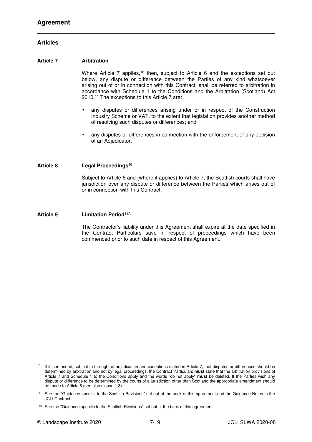## **Articles**

## **Article 7 Arbitration**

Where Article 7 applies,<sup>10</sup> then, subject to Article 6 and the exceptions set out below, any dispute or difference between the Parties of any kind whatsoever arising out of or in connection with this Contract, shall be referred to arbitration in accordance with Schedule 1 to the Conditions and the Arbitration (Scotland) Act 2010.<sup>11</sup> The exceptions to this Article 7 are:

- any disputes or differences arising under or in respect of the Construction Industry Scheme or VAT, to the extent that legislation provides another method of resolving such disputes or differences; and
- any disputes or differences in connection with the enforcement of any decision of an Adjudicator.

#### **Article 8 Legal Proceedings**<sup>10</sup>

Subject to Article 6 and (where it applies) to Article 7, the Scottish courts shall have jurisdiction over any dispute or difference between the Parties which arises out of or in connection with this Contract.

#### **Article 9 Limitation Period**11A

The Contractor's liability under this Agreement shall expire at the date specified in the Contract Particulars save in respect of proceedings which have been commenced prior to such date in respect of this Agreement.

<sup>&</sup>lt;sup>10</sup> If it is intended, subject to the right of adjudication and exceptions stated in Article 7, that disputes or differences should be determined by arbitration and not by legal proceedings, the Contract Particulars **must** state that the arbitration provisions of Article 7 and Schedule 1 to the Conditions apply and the words "do not apply" **must** be deleted. If the Parties wish any dispute or difference to be determined by the courts of a jurisdiction other than Scotland the appropriate amendment should be made to Article 8 (see also clause 1.8).

See the "Guidance specific to the Scottish Revisions" set out at the back of this agreement and the Guidance Notes in the JCLI Contract.

<sup>&</sup>lt;sup>11A</sup> See the "Guidance specific to the Scottish Revisions" set out at the back of this agreement.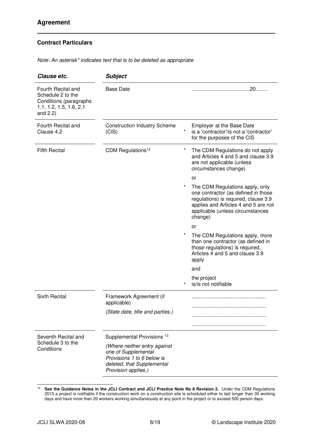Note: An asterisk\* indicates text that is to be deleted as appropriate

| Clause etc.                                                                                                 | <b>Subject</b>                                                                                                                         |          |                                                                                                                                                                                                       |
|-------------------------------------------------------------------------------------------------------------|----------------------------------------------------------------------------------------------------------------------------------------|----------|-------------------------------------------------------------------------------------------------------------------------------------------------------------------------------------------------------|
| Fourth Recital and<br>Schedule 2 to the<br>Conditions (paragraphs<br>1.1, 1.2, 1.5, 1.6, 2.1<br>and $2.2$ ) | <b>Base Date</b>                                                                                                                       |          |                                                                                                                                                                                                       |
| Fourth Recital and<br>Clause 4.2                                                                            | <b>Construction Industry Scheme</b><br>(CIS)                                                                                           | $^\star$ | <b>Employer at the Base Date</b><br>is a 'contractor'/is not a 'contractor'<br>for the purposes of the CIS                                                                                            |
| <b>Fifth Recital</b>                                                                                        | CDM Regulations <sup>12</sup>                                                                                                          | *        | The CDM Regulations do not apply<br>and Articles 4 and 5 and clause 3.9<br>are not applicable (unless<br>circumstances change)                                                                        |
|                                                                                                             |                                                                                                                                        |          | or                                                                                                                                                                                                    |
|                                                                                                             |                                                                                                                                        | *        | The CDM Regulations apply, only<br>one contractor (as defined in those<br>regulations) is required, clause 3.9<br>applies and Articles 4 and 5 are not<br>applicable (unless circumstances<br>change) |
|                                                                                                             |                                                                                                                                        |          | or                                                                                                                                                                                                    |
|                                                                                                             |                                                                                                                                        |          | The CDM Regulations apply, more<br>than one contractor (as defined in<br>those regulations) is required,<br>Articles 4 and 5 and clause 3.9<br>apply                                                  |
|                                                                                                             |                                                                                                                                        |          | and                                                                                                                                                                                                   |
|                                                                                                             |                                                                                                                                        |          | the project<br>is/is not notifiable                                                                                                                                                                   |
| <b>Sixth Recital</b>                                                                                        | Framework Agreement (if<br>applicable)                                                                                                 |          |                                                                                                                                                                                                       |
|                                                                                                             | (State date, title and parties.)                                                                                                       |          |                                                                                                                                                                                                       |
|                                                                                                             |                                                                                                                                        |          |                                                                                                                                                                                                       |
| Seventh Recital and<br>Schedule 3 to the<br>Conditions                                                      | Supplemental Provisions <sup>13</sup>                                                                                                  |          |                                                                                                                                                                                                       |
|                                                                                                             | (Where neither entry against<br>one of Supplemental<br>Provisions 1 to 6 below is<br>deleted, that Supplemental<br>Provision applies.) |          |                                                                                                                                                                                                       |

<sup>&</sup>lt;sup>12</sup> See the Guidance Notes in the JCLI Contract and JCLI Practice Note No 8 Revision 2. Under the CDM Regulations 2015 a project is notifiable if the construction work on a construction site is scheduled either to last longer than 30 working days and have more than 20 workers working simultaneously at any point in the project or to exceed 500 person days.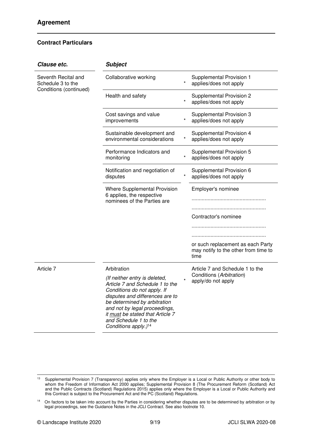| Collaborative working                                                                                                                                                                                                                                                                                |                             |                                                                                   |
|------------------------------------------------------------------------------------------------------------------------------------------------------------------------------------------------------------------------------------------------------------------------------------------------------|-----------------------------|-----------------------------------------------------------------------------------|
|                                                                                                                                                                                                                                                                                                      | $\star$                     | Supplemental Provision 1<br>applies/does not apply                                |
| Health and safety                                                                                                                                                                                                                                                                                    | $\star$                     | Supplemental Provision 2<br>applies/does not apply                                |
| Cost savings and value<br>improvements                                                                                                                                                                                                                                                               | $^\star$                    | Supplemental Provision 3<br>applies/does not apply                                |
| Sustainable development and<br>environmental considerations                                                                                                                                                                                                                                          | $\star$                     | Supplemental Provision 4<br>applies/does not apply                                |
| Performance Indicators and<br>monitoring                                                                                                                                                                                                                                                             |                             | Supplemental Provision 5<br>applies/does not apply                                |
| Notification and negotiation of<br>disputes                                                                                                                                                                                                                                                          | $^\star$                    | Supplemental Provision 6<br>applies/does not apply                                |
| Where Supplemental Provision<br>6 applies, the respective                                                                                                                                                                                                                                            |                             | Employer's nominee                                                                |
|                                                                                                                                                                                                                                                                                                      |                             |                                                                                   |
|                                                                                                                                                                                                                                                                                                      |                             | Contractor's nominee                                                              |
|                                                                                                                                                                                                                                                                                                      |                             |                                                                                   |
|                                                                                                                                                                                                                                                                                                      |                             |                                                                                   |
|                                                                                                                                                                                                                                                                                                      |                             | or such replacement as each Party<br>may notify to the other from time to<br>time |
| Arbitration                                                                                                                                                                                                                                                                                          |                             | Article 7 and Schedule 1 to the                                                   |
| (If neither entry is deleted,<br>Article 7 and Schedule 1 to the<br>Conditions do not apply. If<br>disputes and differences are to<br>be determined by arbitration<br>and not by legal proceedings,<br>it must be stated that Article 7<br>and Schedule 1 to the<br>Conditions apply.) <sup>14</sup> |                             | Conditions (Arbitration)<br>apply/do not apply                                    |
|                                                                                                                                                                                                                                                                                                      | nominees of the Parties are |                                                                                   |

<sup>&</sup>lt;sup>13</sup> Supplemental Provision 7 (Transparency) applies only where the Employer is a Local or Public Authority or other body to whom the Freedom of Information Act 2000 applies; Supplemental Provision 8 (The Procurement Reform (Scotland) Act and the Public Contracts (Scotland) Regulations 2015) applies only where the Employer is a Local or Public Authority and this Contract is subject to the Procurement Act and the PC (Scotland) Regulations.

<sup>&</sup>lt;sup>14</sup> On factors to be taken into account by the Parties in considering whether disputes are to be determined by arbitration or by legal proceedings, see the Guidance Notes in the JCLI Contract. See also footnote 10.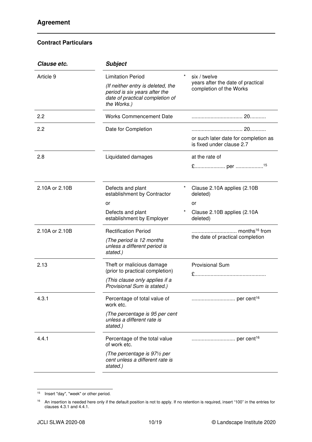| Clause etc.    | <b>Subject</b>                                                                                                       |          |                                                                   |  |
|----------------|----------------------------------------------------------------------------------------------------------------------|----------|-------------------------------------------------------------------|--|
| Article 9      | $^\star$<br><b>Limitation Period</b>                                                                                 |          | six / twelve                                                      |  |
|                | (If neither entry is deleted, the<br>period is six years after the<br>date of practical completion of<br>the Works.) |          | years after the date of practical<br>completion of the Works      |  |
| 2.2            | <b>Works Commencement Date</b>                                                                                       |          |                                                                   |  |
| 2.2            | Date for Completion                                                                                                  |          | or such later date for completion as<br>is fixed under clause 2.7 |  |
| 2.8            | Liquidated damages                                                                                                   |          | at the rate of                                                    |  |
| 2.10A or 2.10B | Defects and plant<br>establishment by Contractor                                                                     | $^\star$ | Clause 2.10A applies (2.10B)<br>deleted)                          |  |
|                | or                                                                                                                   |          | or                                                                |  |
|                | Defects and plant<br>establishment by Employer                                                                       |          | Clause 2.10B applies (2.10A<br>deleted)                           |  |
| 2.10A or 2.10B | <b>Rectification Period</b>                                                                                          |          |                                                                   |  |
|                | (The period is 12 months<br>unless a different period is<br>stated.)                                                 |          | the date of practical completion                                  |  |
| 2.13           | Theft or malicious damage                                                                                            |          | <b>Provisional Sum</b>                                            |  |
|                | (prior to practical completion)<br>(This clause only applies if a<br>Provisional Sum is stated.)                     |          |                                                                   |  |
| 4.3.1          | Percentage of total value of<br>work etc.                                                                            |          |                                                                   |  |
|                | (The percentage is 95 per cent<br>unless a different rate is<br>stated.)                                             |          |                                                                   |  |
| 4.4.1          | Percentage of the total value<br>of work etc.                                                                        |          |                                                                   |  |
|                | (The percentage is 971/2 per<br>cent unless a different rate is<br>stated.)                                          |          |                                                                   |  |

<sup>&</sup>lt;sup>15</sup> Insert "day", "week" or other period.

<sup>&</sup>lt;sup>16</sup> An insertion is needed here only if the default position is not to apply. If no retention is required, insert "100" in the entries for clauses 4.3.1 and 4.4.1.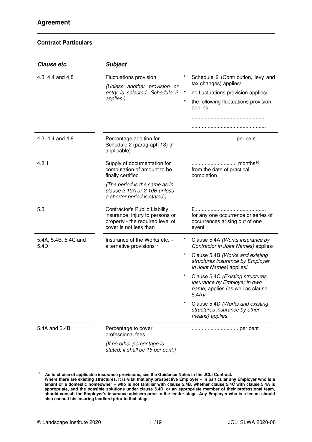| Clause etc.                                             | <b>Subject</b>                                                                                                                        |                    |                                                                                                                                           |
|---------------------------------------------------------|---------------------------------------------------------------------------------------------------------------------------------------|--------------------|-------------------------------------------------------------------------------------------------------------------------------------------|
| Fluctuations provision<br>4.3, 4.4 and 4.8<br>applies.) | (Unless another provision or<br>entry is selected, Schedule 2                                                                         | $\star$<br>$\star$ | Schedule 2 (Contribution, levy and<br>tax changes) applies/<br>no fluctuations provision applies/<br>the following fluctuations provision |
|                                                         |                                                                                                                                       |                    | applies                                                                                                                                   |
| 4.3, 4.4 and 4.8                                        | Percentage addition for<br>Schedule 2 (paragraph 13) (if<br>applicable)                                                               |                    | per cent                                                                                                                                  |
| 4.8.1                                                   | Supply of documentation for<br>computation of amount to be<br>finally certified                                                       |                    | months <sup>16</sup><br>from the date of practical<br>completion                                                                          |
|                                                         | (The period is the same as in<br>clause 2.10A or 2.10B unless<br>a shorter period is stated.)                                         |                    |                                                                                                                                           |
| 5.3                                                     | <b>Contractor's Public Liability</b><br>insurance: injury to persons or<br>property - the required level of<br>cover is not less than |                    | for any one occurrence or series of<br>occurrences arising out of one<br>event                                                            |
| 5.4A, 5.4B, 5.4C and<br>5.4D                            | Insurance of the Works etc. -<br>alternative provisions <sup>17</sup>                                                                 |                    | Clause 5.4A (Works insurance by<br>Contractor in Joint Names) applies/                                                                    |
|                                                         |                                                                                                                                       | $\star$            | Clause 5.4B (Works and existing<br>structures insurance by Employer<br>in Joint Names) applies/                                           |
|                                                         |                                                                                                                                       |                    | Clause 5.4C (Existing structures<br>insurance by Employer in own<br>name) applies (as well as clause<br>5.4A)/                            |
|                                                         |                                                                                                                                       |                    | Clause 5.4D (Works and existing<br>structures insurance by other<br>means) applies                                                        |
| 5.4A and 5.4B                                           | Percentage to cover<br>professional fees                                                                                              |                    |                                                                                                                                           |
|                                                         | (If no other percentage is<br>stated, it shall be 15 per cent.)                                                                       |                    |                                                                                                                                           |

<sup>17</sup> **As to choice of applicable insurance provisions, see the Guidance Notes in the JCLI Contract. Where there are existing structures, it is vital that any prospective Employer – in particular any Employer who is a tenant or a domestic homeowner – who is not familiar with clause 5.4B, whether clause 5.4C with clause 5.4A is appropriate, and the possible solutions under clause 5.4D, or an appropriate member of their professional team, should consult the Employer's insurance advisers prior to the tender stage. Any Employer who is a tenant should also consult his insuring landlord prior to that stage.**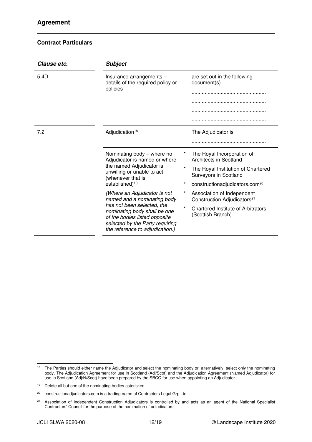| Clause etc. | <b>Subject</b>                                                                                                                                                    |                                                                                  |  |
|-------------|-------------------------------------------------------------------------------------------------------------------------------------------------------------------|----------------------------------------------------------------------------------|--|
| 5.4D        | Insurance arrangements -<br>details of the required policy or<br>policies                                                                                         | are set out in the following<br>document(s)                                      |  |
|             |                                                                                                                                                                   |                                                                                  |  |
|             |                                                                                                                                                                   |                                                                                  |  |
|             |                                                                                                                                                                   |                                                                                  |  |
|             |                                                                                                                                                                   |                                                                                  |  |
| 7.2         | Adjudication <sup>18</sup>                                                                                                                                        | The Adjudicator is                                                               |  |
|             |                                                                                                                                                                   |                                                                                  |  |
|             | Nominating body - where no<br>Adjudicator is named or where                                                                                                       | The Royal Incorporation of<br>Architects in Scotland                             |  |
|             | the named Adjudicator is<br>unwilling or unable to act<br>(whenever that is                                                                                       | The Royal Institution of Chartered<br>Surveyors in Scotland                      |  |
|             | established) <sup>19</sup>                                                                                                                                        | $\star$<br>constructionadjudicators.com <sup>20</sup>                            |  |
|             | (Where an Adjudicator is not<br>named and a nominating body                                                                                                       | $\star$<br>Association of Independent<br>Construction Adjudicators <sup>21</sup> |  |
|             | has not been selected, the<br>nominating body shall be one<br>of the bodies listed opposite<br>selected by the Party requiring<br>the reference to adjudication.) | $\star$<br>Chartered Institute of Arbitrators<br>(Scottish Branch)               |  |

<sup>&</sup>lt;sup>18</sup> The Parties should either name the Adjudicator and select the nominating body or, alternatively, select only the nominating body. The Adjudication Agreement for use in Scotland (Adj/Scot) and the Adjudication Agreement (Named Adjudicator) for use in Scotland (Adj/N/Scot) have been prepared by the SBCC for use when appointing an Adjudicator.

<sup>&</sup>lt;sup>19</sup> Delete all but one of the nominating bodies asterisked.

<sup>&</sup>lt;sup>20</sup> constructionadjudicators.com is a trading name of Contractors Legal Grp Ltd.

<sup>&</sup>lt;sup>21</sup> Association of Independent Construction Adjudicators is controlled by and acts as an agent of the National Specialist Contractors' Council for the purpose of the nomination of adjudicators.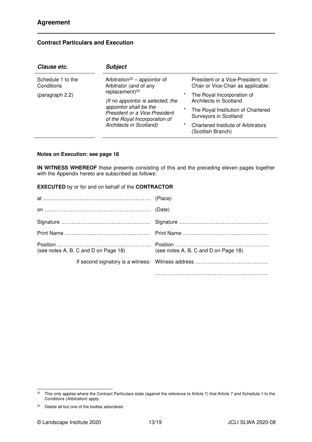# **Contract Particulars and Execution**

| Clause etc.                     | <b>Subject</b>                                                                                                                                                                   |                           |                                                                                                                                                                                |
|---------------------------------|----------------------------------------------------------------------------------------------------------------------------------------------------------------------------------|---------------------------|--------------------------------------------------------------------------------------------------------------------------------------------------------------------------------|
| Schedule 1 to the<br>Conditions | Arbitration <sup>22</sup> – appointor of<br>Arbitrator (and of any                                                                                                               |                           | President or a Vice-President, or<br>Chair or Vice-Chair as applicable:                                                                                                        |
| (paragraph 2.2)                 | replacement) $^{23}$<br>(If no appointor is selected, the<br>appointor shall be the<br>President or a Vice-President<br>of the Royal Incorporation of<br>Architects in Scotland) | *<br>$^\star$<br>$^\star$ | The Royal Incorporation of<br>Architects in Scotland<br>The Royal Institution of Chartered<br>Surveyors in Scotland<br>Chartered Institute of Arbitrators<br>(Scottish Branch) |

## **Notes on Execution: see page 18**

**IN WITNESS WHEREOF** these presents consisting of this and the preceding eleven pages together with the Appendix hereto are subscribed as follows:

|  |  |  | <b>EXECUTED</b> by or for and on behalf of the <b>CONTRACTOR</b> |
|--|--|--|------------------------------------------------------------------|
|--|--|--|------------------------------------------------------------------|

| (see notes A, B, C and D on Page 18) | (see notes A, B, C and D on Page 18) |
|--------------------------------------|--------------------------------------|
|                                      |                                      |
|                                      |                                      |

 $22$  This only applies where the Contract Particulars state (against the reference to Article 7) that Article 7 and Schedule 1 to the Conditions (Arbitration) apply.

 $23$  Delete all but one of the bodies asterisked.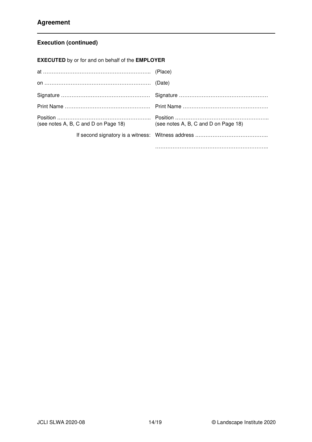# **Execution (continued)**

**EXECUTED** by or for and on behalf of the **EMPLOYER**

| (see notes A, B, C and D on Page 18) (see notes A, B, C and D on Page 18) |  |
|---------------------------------------------------------------------------|--|
|                                                                           |  |
|                                                                           |  |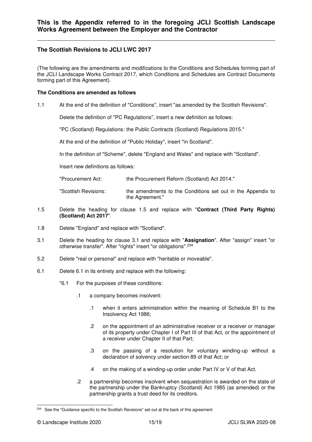# **The Scottish Revisions to JCLI LWC 2017**

(The following are the amendments and modifications to the Conditions and Schedules forming part of the JCLI Landscape Works Contract 2017, which Conditions and Schedules are Contract Documents forming part of this Agreement).

## **The Conditions are amended as follows**

1.1 At the end of the definition of "Conditions", insert "as amended by the Scottish Revisions".

Delete the definition of "PC Regulations", insert a new definition as follows:

"PC (Scotland) Regulations: the Public Contracts (Scotland) Regulations 2015."

At the end of the definition of "Public Holiday", insert "in Scotland".

In the definition of "Scheme", delete "England and Wales" and replace with "Scotland".

Insert new definitions as follows:

"Procurement Act: the Procurement Reform (Scotland) Act 2014."

"Scottish Revisions: the amendments to the Conditions set out in the Appendix to the Agreement."

- 1.5 Delete the heading for clause 1.5 and replace with "**Contract (Third Party Rights) (Scotland) Act 2017**".
- 1.8 Delete "England" and replace with "Scotland".
- 3.1 Delete the heading for clause 3.1 and replace with "**Assignation**". After "assign" insert "or otherwise transfer". After "rights" insert "or obligations".23A
- 5.2 Delete "real or personal" and replace with "heritable or moveable".
- 6.1 Delete 6.1 in its entirety and replace with the following:
	- "6.1 For the purposes of these conditions:
		- .1 a company becomes insolvent:
			- .1 when it enters administration within the meaning of Schedule B1 to the Insolvency Act 1986;
			- .2 on the appointment of an administrative receiver or a receiver or manager of its property under Chapter I of Part III of that Act, or the appointment of a receiver under Chapter II of that Part;
			- .3 on the passing of a resolution for voluntary winding-up without a declaration of solvency under section 89 of that Act; or
			- .4 on the making of a winding-up order under Part IV or V of that Act.
		- .2 a partnership becomes insolvent when sequestration is awarded on the state of the partnership under the Bankruptcy (Scotland) Act 1985 (as amended) or the partnership grants a trust deed for its creditors.

<sup>&</sup>lt;sup>23A</sup> See the "Guidance specific to the Scottish Revisions" set out at the back of this agreement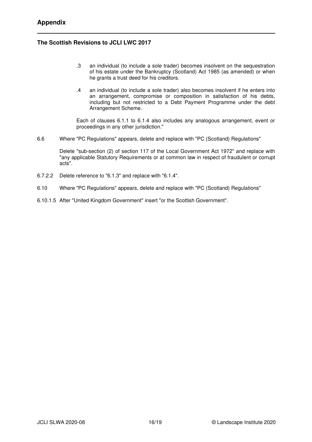# **The Scottish Revisions to JCLI LWC 2017**

- .3 an individual (to include a sole trader) becomes insolvent on the sequestration of his estate under the Bankruptcy (Scotland) Act 1985 (as amended) or when he grants a trust deed for his creditors.
- .4 an individual (to include a sole trader) also becomes insolvent if he enters into an arrangement, compromise or composition in satisfaction of his debts, including but not restricted to a Debt Payment Programme under the debt Arrangement Scheme.

Each of clauses 6.1.1 to 6.1.4 also includes any analogous arrangement, event or proceedings in any other jurisdiction."

6.6 Where "PC Regulations" appears, delete and replace with "PC (Scotland) Regulations"

Delete "sub-section (2) of section 117 of the Local Government Act 1972" and replace with "any applicable Statutory Requirements or at common law in respect of fraudulent or corrupt acts".

- 6.7.2.2 Delete reference to "6.1.3" and replace with "6.1.4".
- 6.10 Where "PC Regulations" appears, delete and replace with "PC (Scotland) Regulations"
- 6.10.1.5 After "United Kingdom Government" insert "or the Scottish Government".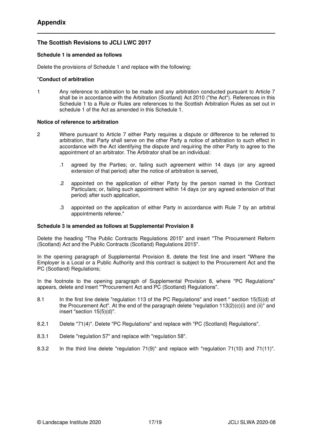# **The Scottish Revisions to JCLI LWC 2017**

## **Schedule 1 is amended as follows**

Delete the provisions of Schedule 1 and replace with the following:

#### "**Conduct of arbitration**

1 Any reference to arbitration to be made and any arbitration conducted pursuant to Article 7 shall be in accordance with the Arbitration (Scotland) Act 2010 ("the Act"). References in this Schedule 1 to a Rule or Rules are references to the Scottish Arbitration Rules as set out in schedule 1 of the Act as amended in this Schedule 1.

### **Notice of reference to arbitration**

- 2 Where pursuant to Article 7 either Party requires a dispute or difference to be referred to arbitration, that Party shall serve on the other Party a notice of arbitration to such effect in accordance with the Act identifying the dispute and requiring the other Party to agree to the appointment of an arbitrator. The Arbitrator shall be an individual:
	- .1 agreed by the Parties; or, failing such agreement within 14 days (or any agreed extension of that period) after the notice of arbitration is served,
	- .2 appointed on the application of either Party by the person named in the Contract Particulars; or, failing such appointment within 14 days (or any agreed extension of that period) after such application,
	- .3 appointed on the application of either Party in accordance with Rule 7 by an arbitral appointments referee."

## **Schedule 3 is amended as follows at Supplemental Provision 8**

Delete the heading "The Public Contracts Regulations 2015" and insert "The Procurement Reform (Scotland) Act and the Public Contracts (Scotland) Regulations 2015".

In the opening paragraph of Supplemental Provision 8, delete the first line and insert "Where the Employer is a Local or a Public Authority and this contract is subject to the Procurement Act and the PC (Scotland) Regulations;

In the footnote to the opening paragraph of Supplemental Provision 8, where "PC Regulations" appears, delete and insert ""Procurement Act and PC (Scotland) Regulations".

- 8.1 In the first line delete "regulation 113 of the PC Regulations" and insert " section 15(5)(d) of the Procurement Act". At the end of the paragraph delete "regulation  $113(2)(c)(i)$  and (ii)" and insert "section 15(5)(d)".
- 8.2.1 Delete "71(4)". Delete "PC Regulations" and replace with "PC (Scotland) Regulations".
- 8.3.1 Delete "regulation 57" and replace with "regulation 58".
- 8.3.2 In the third line delete "regulation 71(9)" and replace with "regulation 71(10) and 71(11)".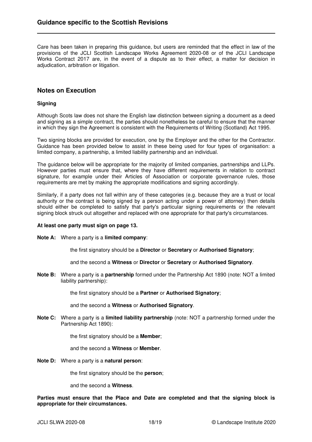Care has been taken in preparing this guidance, but users are reminded that the effect in law of the provisions of the JCLI Scottish Landscape Works Agreement 2020-08 or of the JCLI Landscape Works Contract 2017 are, in the event of a dispute as to their effect, a matter for decision in adjudication, arbitration or litigation.

## **Notes on Execution**

#### **Signing**

Although Scots law does not share the English law distinction between signing a document as a deed and signing as a simple contract, the parties should nonetheless be careful to ensure that the manner in which they sign the Agreement is consistent with the Requirements of Writing (Scotland) Act 1995.

Two signing blocks are provided for execution, one by the Employer and the other for the Contractor. Guidance has been provided below to assist in these being used for four types of organisation: a limited company, a partnership, a limited liability partnership and an individual.

The guidance below will be appropriate for the majority of limited companies, partnerships and LLPs. However parties must ensure that, where they have different requirements in relation to contract signature, for example under their Articles of Association or corporate governance rules, those requirements are met by making the appropriate modifications and signing accordingly.

Similarly, if a party does not fall within any of these categories (e.g. because they are a trust or local authority or the contract is being signed by a person acting under a power of attorney) then details should either be completed to satisfy that party's particular signing requirements or the relevant signing block struck out altogether and replaced with one appropriate for that party's circumstances.

#### **At least one party must sign on page 13.**

**Note A:** Where a party is a **limited company**:

the first signatory should be a **Director** or **Secretary** or **Authorised Signatory**;

and the second a **Witness** or **Director** or **Secretary** or **Authorised Signatory**.

**Note B:** Where a party is a **partnership** formed under the Partnership Act 1890 (note: NOT a limited liability partnership):

the first signatory should be a **Partner** or **Authorised Signatory**;

and the second a **Witness** or **Authorised Signatory**.

**Note C:** Where a party is a **limited liability partnership** (note: NOT a partnership formed under the Partnership Act 1890):

the first signatory should be a **Member**;

and the second a **Witness** or **Member**.

**Note D:** Where a party is a **natural person**:

the first signatory should be the **person**;

and the second a **Witness**.

**Parties must ensure that the Place and Date are completed and that the signing block is appropriate for their circumstances.**